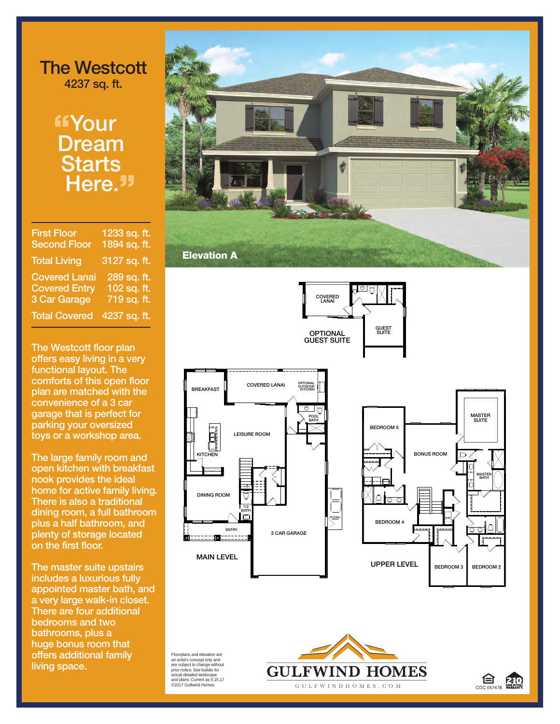## **The Westcott 4237 sq. ft.**

## **"Your . Dream Starts Here."**

| <b>First Floor</b>   | 1233 sq. ft.  |
|----------------------|---------------|
| <b>Second Floor</b>  | 1894 sq. ft.  |
| <b>Total Living</b>  | 3127 sq. ft.  |
| <b>Covered Lanai</b> | 289 sq. ft.   |
| <b>Covered Entry</b> | $102$ sq. ft. |
| <b>3 Car Garage</b>  | 719 sq. ft.   |
| <b>Total Covered</b> | 4237 sq. ft.  |

**The Westcott floor plan offers easy living in a very functional layout. The comforts of this open floor plan are matched with the convenience of a 3 car garage that is perfect for parking your oversized toys or a workshop area.**

**The large family room and open kitchen with breakfast nook provides the ideal home for active family living. There is also a traditional dining room, a full bathroom plus a half bathroom, and plenty of storage located on the first floor.**

**The master suite upstairs includes a luxurious fully appointed master bath, and a very large walk-in closet. There are four additional bedrooms and two bathrooms, plus a huge bonus room that offers additional family living space.**





Floorplans and elevation are an artist's concept only and are subject to change without prior notice. See builder for actual detailed landscape and plans. Current as 5.15.17 ©2017 Gulfwind Homes